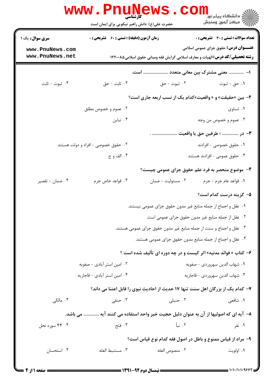|                            | <b>WWW.Pnugge</b><br>حضرت علی(ع): دانش راهبر نیکویی برای ایمان است                   | ڪ دانشڪاه پيا <mark>م نور</mark><br>ر <i>7</i> مرڪز آزمون وسنڊش                      |  |  |
|----------------------------|--------------------------------------------------------------------------------------|--------------------------------------------------------------------------------------|--|--|
| <b>سری سوال :</b> یک ۱     | <b>زمان آزمون (دقیقه) : تستی : 60 ٪ تشریحی : 0</b>                                   | تعداد سوالات : تستي : 30 ٪ تشريحي : 0                                                |  |  |
| www.PnuNews.com            |                                                                                      | <b>عنـــوان درس:</b> حقوق جزای عمومی اسلامی                                          |  |  |
| www.PnuNews.net            | <b>رشته تحصیلی/گد درس:</b> الهیات و معارف اسلامی گرایش فقه ومبانی حقوق اسلامی۱۲۲۰۰۸۵ |                                                                                      |  |  |
|                            |                                                                                      | ا–  معنى مشترك بين معانى متعدد  است.                                                 |  |  |
| ۰۴ ثبوت - ثابت             | ۰۳ ثابت - حق                                                                         | ۰۲ ثبوت - حق<br>۰۱ حق - ثبوت                                                         |  |  |
|                            |                                                                                      | ۲- بین «حقیقت» و « واقعیت»کدام یک از نسب اربعه جاری است؟                             |  |  |
|                            | ۰۲ عموم و خصوص مطلق                                                                  | ۰۱ تساوی                                                                             |  |  |
|                            | ۰۴ تباین                                                                             | ۰۳ عموم و خصوص من وجه                                                                |  |  |
|                            |                                                                                      | ٣- در  ؛ طرفين حق يا واقعيت                                                          |  |  |
|                            | ۰۲ حقوق خصوصی - افراد و دولت هستند                                                   | ۰۱ حقوق خصوصی - افرادند                                                              |  |  |
|                            | ۰۴ الف و ج                                                                           | ۰۳ حقوق عمومی - افرادند هستند                                                        |  |  |
|                            |                                                                                      | ۴- موضوع منحصر به فرد علم حقوق جزای عمومی چیست؟                                      |  |  |
| ۰۴ ضمان - تقصير            | ۰۳ قواعد خاص جرم                                                                     | ۰۲ مسئوليت - ضمان<br>٠١. قواعد عام جرم - جرم                                         |  |  |
|                            |                                                                                      | ۵– گزینه درست کدام است؟                                                              |  |  |
|                            |                                                                                      | ۰۱ عقل و اجماع از جمله منابع غیر مدون حقوق جزای عمومی نیستند.                        |  |  |
|                            |                                                                                      | ٠٢ عقل از جمله منابع غير مدون حقوق جزاي عمومي است.                                   |  |  |
|                            |                                                                                      | ۰۳ عقل و اجماع و سنت از جمله منابع غیر مدون حقوق جزای عمومی هستند.                   |  |  |
|                            |                                                                                      | ۰۴ عقل و اجماع از جمله منابع مدون حقوق جزاى عمومى هستند.                             |  |  |
|                            |                                                                                      | ۶- کتاب « فوائد مدنیه» اثر کیست و در چه دوره ای تألیف شده است ؟                      |  |  |
| ۰۲ امین استر آبادی - صفویه |                                                                                      | ٠١ شهاب الدين سهروردي - صفويه                                                        |  |  |
|                            | ۰۴ امین استر آبادی - قاجاریه<br>٠٣ شهاب الدين سهروردي - قاجاريه                      |                                                                                      |  |  |
|                            |                                                                                      | ۷- کدام یک از بزرگان اهل سنت تنها ۱۷ حدیث از احادیث نبوی را قابل اعتنا می داند؟      |  |  |
| ۰۴ مالکی                   | ۰۳ حنفی                                                                              | ۰۲ حنبلی<br>۰۱ شافع <sub>ی</sub>                                                     |  |  |
|                            |                                                                                      | ٨− آیه ای که اصولیها از آن به عنوان دلیل حجیت خبر واحد استفاده می کنند آیه  می باشد. |  |  |
| ۴. ۴۴ سوره نحل             | ۰۳ فتح                                                                               | ۰۲ نبأ<br>۰۱ نَفر                                                                    |  |  |
|                            |                                                                                      | ۹- مراد از قیاس ممنوع و باطل در اصول فقه کدام نوع قیاس است؟                          |  |  |
| ۰۴ استحسان                 | ٠٣ مستنبط العله                                                                      | ٠٢ منصوص العله<br>۰۱ اولويت                                                          |  |  |
|                            |                                                                                      |                                                                                      |  |  |

= 1•1•/1•1•9۶۶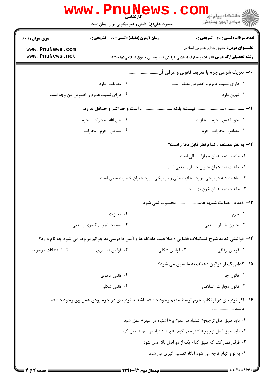| حضرت علی(ع): دانش راهبر نیکویی برای ایمان است                                                                              | رآ مرڪز آزمون وسنڊش                           |
|----------------------------------------------------------------------------------------------------------------------------|-----------------------------------------------|
| <b>سری سوال : ۱ یک</b><br>زمان آزمون (دقیقه) : تستی : 60 ٪ تشریحی : 0                                                      | تعداد سوالات : تستى : 30 - تشريحي : 0         |
| www.PnuNews.com<br>www.PnuNews.net<br><b>رشته تحصیلی/کد درس:</b> الهیات و معارف اسلامی گرایش فقه ومبانی حقوق اسلامی1۲۲۰۰۸۵ | <b>عنـــوان درس:</b> حقوق جزای عمومی اسلامی   |
| ۱۰− تعریف شرعی جرم با تعریف قانونی و عرفی آن .                                                                             |                                               |
| ۰۲ مطابقت دارد                                                                                                             | ۰۱ دارای نسبت عموم و خصوص مطلق است            |
| ۰۴ دارای نسبت عموم و خصوص من وجه است                                                                                       | ۰۳ تباین دارد                                 |
| است و حداکثر و حداقل ندارد.                                                                                                |                                               |
| ٢.  حق الله- مجازات - جرم                                                                                                  | ٠١ حق الناس- جرم- مجازات                      |
| ۰۴ قصاص- جرم- مجازات                                                                                                       | ۰۳ قصاص- مجازات- جرم                          |
|                                                                                                                            | ۱۲– به نظر مصنف ، کدام نظر قابل دفاع است؟     |
|                                                                                                                            | ٠١. ماهيت ديه همان مجازات مالي است.           |
|                                                                                                                            | ۰۲ ماهیت دیه همان جبران خسارت مدنی است.       |
| ۰۳ ماهیت دیه در برخی موارد مجازات مالی و در برخی موارد جبران خسارت مدنی است.                                               |                                               |
|                                                                                                                            | ۰۴ ماهيت ديه همان خون بها است.                |
| ۱۳- دیه در جنایت شبهه عمد  محسوب نمی شود.                                                                                  |                                               |
| ۰۲ مجازات                                                                                                                  | ۰۱ جرم                                        |
| ۰۴ ضمانت اجرای کیفری و مدنی                                                                                                | ۰۳ جبران خسارت مدنی                           |
| ۱۴- قوانینی که به شرح تشکیلات قضایی ؛ صلاحیت دادگاه ها و آیین دادرسی به جرائم مربوط می شود چه نام دارد؟                    |                                               |
| ۰۲ قوانین شکلی<br>۰۴ استثنائات موضوعه<br>۰۳ قوانین تفسیری                                                                  | ٠١ قوانين ارفاقي                              |
|                                                                                                                            | 1۵– کدام یک از قوانین ؛ عطف به ما سبق می شود؟ |
| ۰۲ قانون ماهوي                                                                                                             | ٠١ قانون جزا                                  |
| ۰۴ قانون شکلی                                                                                                              | ۰۳ قانون مجازات اسلامی                        |
| ۱۶– اگر تردیدی در ارتکاب جرم توسط متهم وجود داشته باشد یا تردیدی در جرم بودن عمل وی وجود داشته                             | باشد  .                                       |
| ۰۱ باید طبق اصل ترجیح« اشتباه در عفو» بر« اشتباه در کیفر» عمل شود                                                          |                                               |
| ۰۲ باید طبق اصل ترجیح« اشتباه در کیفر » بر« اشتباه در عفو » عمل کرد                                                        |                                               |
| ۰۳ فرقی نمی کند که طبق کدام یک از دو اصل بالا عمل شود                                                                      |                                               |
| ۰۴ به نوع اتهام توجه می شود آنگاه تصمیم گیری می شود                                                                        |                                               |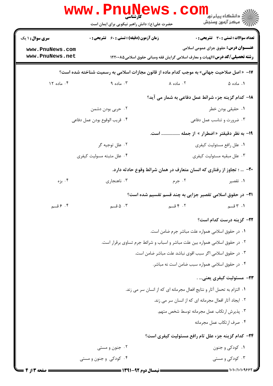|                                                                                           | <b>www.PnuNews</b><br>کارشناسی<br>حضرت علی(ع): دانش راهبر نیکویی برای ایمان است |                                                                                      | ڪ دانشڪاه پيام نور<br><mark>∕</mark> 7 مرڪز آزمون وسنڊش |  |  |
|-------------------------------------------------------------------------------------------|---------------------------------------------------------------------------------|--------------------------------------------------------------------------------------|---------------------------------------------------------|--|--|
| <b>سری سوال :</b> ۱ یک                                                                    | <b>زمان آزمون (دقیقه) : تستی : 60 ٪ تشریحی : 0</b>                              |                                                                                      | <b>تعداد سوالات : تستی : 30 ٪ تشریحی : 0</b>            |  |  |
| www.PnuNews.com                                                                           |                                                                                 |                                                                                      | <b>عنـــوان درس:</b> حقوق جزای عمومی اسلامی             |  |  |
| www.PnuNews.net                                                                           |                                                                                 | <b>رشته تحصیلی/کد درس:</b> الهیات و معارف اسلامی گرایش فقه ومبانی حقوق اسلامی۱۲۲۰۰۸۵ |                                                         |  |  |
| ۱۷- « اصل صلاحیت جهانی» به موجب کدام ماده از قانون مجازات اسلامی به رسمیت شناخته شده است؟ |                                                                                 |                                                                                      |                                                         |  |  |
| ۰۴ ماده ۱۲                                                                                | ۰۳ ماده ۹                                                                       | ۰۲ ماده ۸                                                                            | ۰۱ ماده ۵                                               |  |  |
|                                                                                           |                                                                                 | 18- كدام گزينه جزء شرائط عمل دفاعي به شمار مي آيد؟                                   |                                                         |  |  |
| ۰۲ حربی بودن دشمن<br>٠١. حقيقي بودن خطر                                                   |                                                                                 |                                                                                      |                                                         |  |  |
| ۰۴ قريب الوقوع بودن عمل دفاعي                                                             |                                                                                 | ۰۳ ضرورت و تناسب عمل دفاعی                                                           |                                                         |  |  |
| ۱۹- به نظر دقیقتر « اضطرار » از جمله<br>است.                                              |                                                                                 |                                                                                      |                                                         |  |  |
|                                                                                           | ۰۲ علل توجيه گر                                                                 |                                                                                      | ٠١ علل رافع مسئوليت كيفري                               |  |  |
| ۰۴ علل مثبته مسوليت كيفري                                                                 |                                                                                 |                                                                                      | ۰۳ علل مبقيه مسئوليت كيفري                              |  |  |
| +۲- … ؛ تجاوز از رفتاری که انسان متعارف در همان شرائط وقوع حادثه دارد.                    |                                                                                 |                                                                                      |                                                         |  |  |
| ۰۴ بزه                                                                                    | ۰۳ ناهنجاري                                                                     | ۰۲ جرم                                                                               | ۰۱ تقصیر                                                |  |  |
|                                                                                           |                                                                                 | <b>۲۱</b> - در حقوق اسلامی تقصیر جزایی به چند قسم تقسیم شده است؟                     |                                                         |  |  |
| ۰۴ قسم                                                                                    | ۰۳ ه. قسم                                                                       | ۰۲ قسم                                                                               | ۱. ۳ قسم                                                |  |  |
|                                                                                           |                                                                                 |                                                                                      | <b>۲۲</b> – گزینه درست کدام است؟                        |  |  |
|                                                                                           |                                                                                 | ٠١ در حقوق اسلامي همواره علت مباشر جرم ضامن است.                                     |                                                         |  |  |
|                                                                                           | ۰۲ در حقوق اسلامی همواره بین علت مباشر و اسباب و شرائط جرم تساوی برقرار است.    |                                                                                      |                                                         |  |  |
|                                                                                           |                                                                                 | ۰۳ در حقوق اسلامی اگر سبب اقوی نباشد علت مباشر ضامن است.                             |                                                         |  |  |
|                                                                                           |                                                                                 | ۰۴ در حقوق اسلامی همواره سبب ضامن است نه مباشر.                                      |                                                         |  |  |
|                                                                                           |                                                                                 |                                                                                      | ٢٣- مسئوليت كيفري يعني .                                |  |  |
| ٠١ التزام به تحمل آثار و نتايج افعال مجرمانه اي كه از انسان سر مي زند.                    |                                                                                 |                                                                                      |                                                         |  |  |
| ٠٢ ايجاد آثار افعال مجرمانه اي كه از انسان سر مي زند.                                     |                                                                                 |                                                                                      |                                                         |  |  |
| ٠٣ پذيرش ارتكاب عمل مجرمانه توسط شخص متهم.                                                |                                                                                 |                                                                                      |                                                         |  |  |
| ۰۴ صرف ارتكاب عمل مجرمانه                                                                 |                                                                                 |                                                                                      |                                                         |  |  |
|                                                                                           |                                                                                 | <b>۲۴</b> - کدام گزینه جزء علل تام رافع مسئولیت کیفری است؟                           |                                                         |  |  |
|                                                                                           | ۰۲ جنون و مستی                                                                  |                                                                                      | ۰۱ کودکی و جنون                                         |  |  |
|                                                                                           | ۰۴ کودکی و جنون و مستی                                                          |                                                                                      | ۰۳ کودکی و مستی                                         |  |  |
|                                                                                           |                                                                                 |                                                                                      |                                                         |  |  |